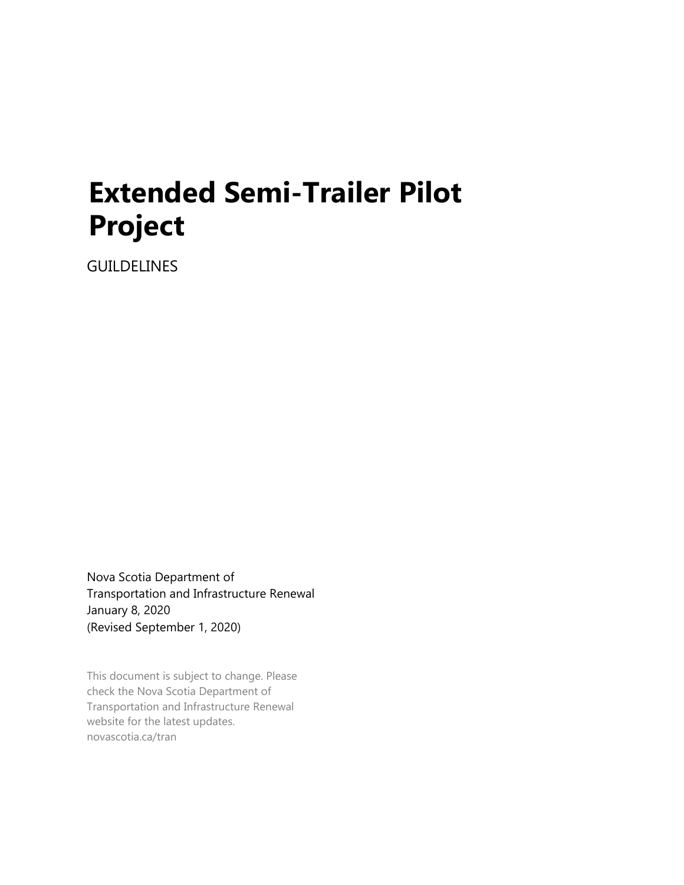# **Extended Semi-Trailer Pilot Project**

GUILDELINES

Nova Scotia Department of Transportation and Infrastructure Renewal January 8, 2020 (Revised September 1, 2020)

This document is subject to change. Please check the Nova Scotia Department of Transportation and Infrastructure Renewal website for the latest updates. novascotia.ca/tran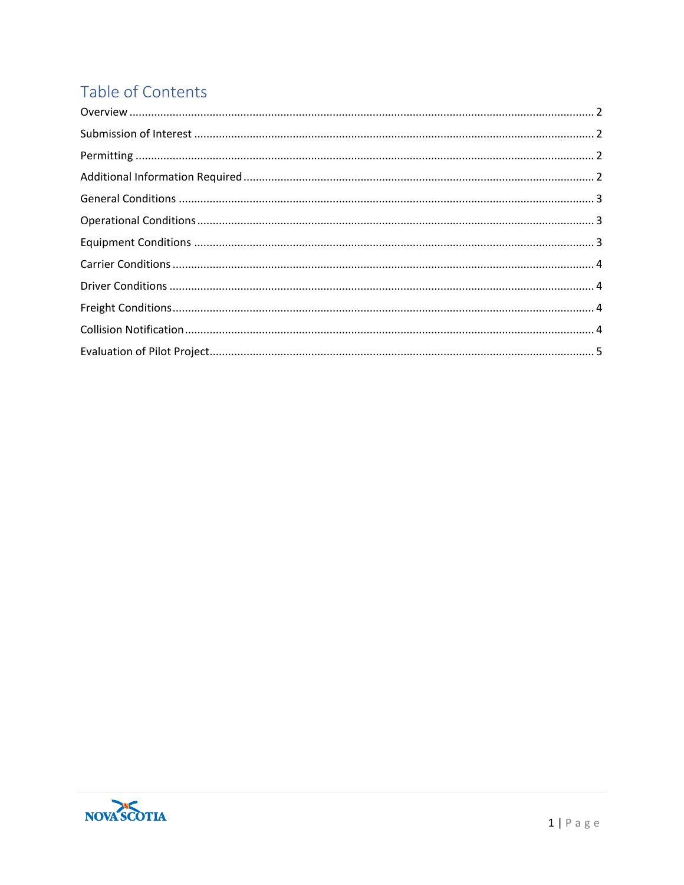# Table of Contents

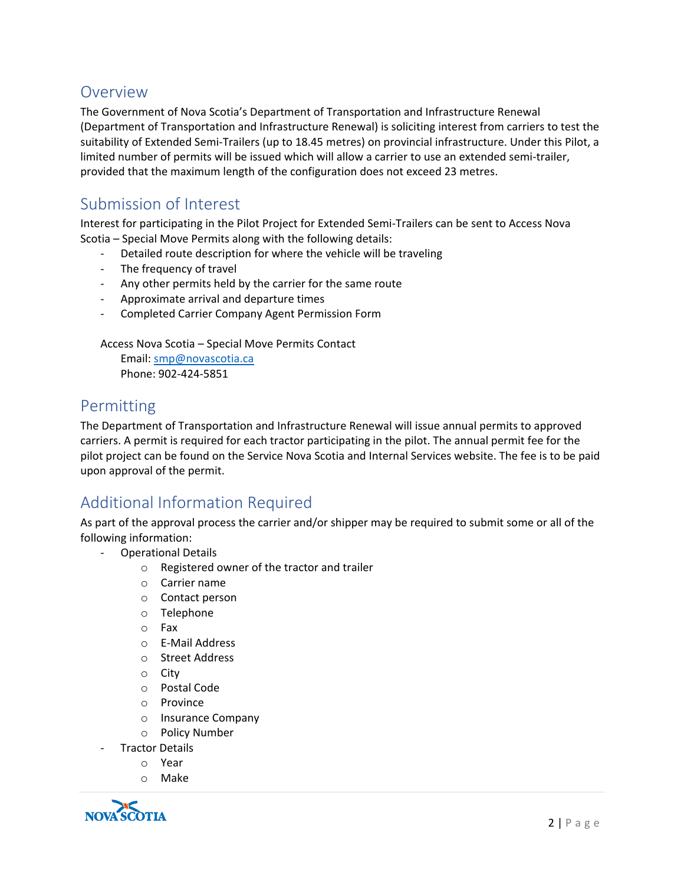#### <span id="page-2-0"></span>Overview

The Government of Nova Scotia's Department of Transportation and Infrastructure Renewal (Department of Transportation and Infrastructure Renewal) is soliciting interest from carriers to test the suitability of Extended Semi-Trailers (up to 18.45 metres) on provincial infrastructure. Under this Pilot, a limited number of permits will be issued which will allow a carrier to use an extended semi-trailer, provided that the maximum length of the configuration does not exceed 23 metres.

# <span id="page-2-1"></span>Submission of Interest

Interest for participating in the Pilot Project for Extended Semi-Trailers can be sent to Access Nova Scotia – Special Move Permits along with the following details:

- Detailed route description for where the vehicle will be traveling
- The frequency of travel
- Any other permits held by the carrier for the same route
- Approximate arrival and departure times
- Completed Carrier Company Agent Permission Form

Access Nova Scotia – Special Move Permits Contact

Email: [smp@novascotia.ca](mailto:smp@novascotia.ca) Phone: 902-424-5851

#### <span id="page-2-2"></span>Permitting

The Department of Transportation and Infrastructure Renewal will issue annual permits to approved carriers. A permit is required for each tractor participating in the pilot. The annual permit fee for the pilot project can be found on the Service Nova Scotia and Internal Services website. The fee is to be paid upon approval of the permit.

# <span id="page-2-3"></span>Additional Information Required

As part of the approval process the carrier and/or shipper may be required to submit some or all of the following information:

- Operational Details
	- o Registered owner of the tractor and trailer
	- o Carrier name
	- o Contact person
	- o Telephone
	- o Fax
	- o E-Mail Address
	- o Street Address
	- o City
	- o Postal Code
	- o Province
	- o Insurance Company
	- o Policy Number
- Tractor Details
	- o Year
	- o Make

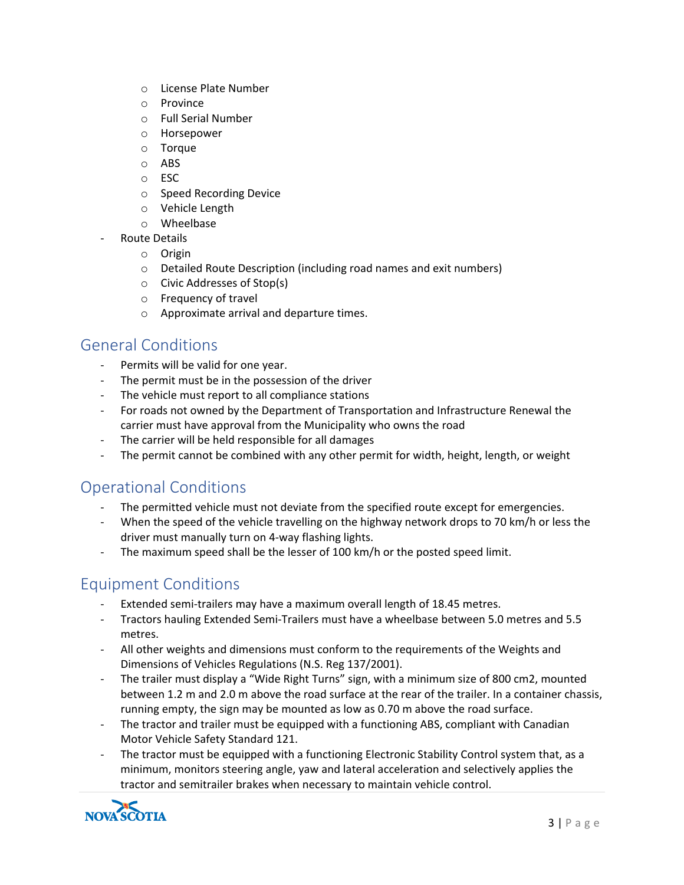- o License Plate Number
- o Province
- o Full Serial Number
- o Horsepower
- o Torque
- o ABS
- o ESC
- o Speed Recording Device
- o Vehicle Length
- o Wheelbase
- Route Details
	- o Origin
	- o Detailed Route Description (including road names and exit numbers)
	- o Civic Addresses of Stop(s)
	- o Frequency of travel
	- o Approximate arrival and departure times.

#### <span id="page-3-0"></span>General Conditions

- Permits will be valid for one year.
- The permit must be in the possession of the driver
- The vehicle must report to all compliance stations
- For roads not owned by the Department of Transportation and Infrastructure Renewal the carrier must have approval from the Municipality who owns the road
- The carrier will be held responsible for all damages
- The permit cannot be combined with any other permit for width, height, length, or weight

# <span id="page-3-1"></span>Operational Conditions

- The permitted vehicle must not deviate from the specified route except for emergencies.
- When the speed of the vehicle travelling on the highway network drops to 70 km/h or less the driver must manually turn on 4-way flashing lights.
- The maximum speed shall be the lesser of 100 km/h or the posted speed limit.

# <span id="page-3-2"></span>Equipment Conditions

- Extended semi-trailers may have a maximum overall length of 18.45 metres.
- Tractors hauling Extended Semi-Trailers must have a wheelbase between 5.0 metres and 5.5 metres.
- All other weights and dimensions must conform to the requirements of the Weights and Dimensions of Vehicles Regulations (N.S. Reg 137/2001).
- The trailer must display a "Wide Right Turns" sign, with a minimum size of 800 cm2, mounted between 1.2 m and 2.0 m above the road surface at the rear of the trailer. In a container chassis, running empty, the sign may be mounted as low as 0.70 m above the road surface.
- The tractor and trailer must be equipped with a functioning ABS, compliant with Canadian Motor Vehicle Safety Standard 121.
- The tractor must be equipped with a functioning Electronic Stability Control system that, as a minimum, monitors steering angle, yaw and lateral acceleration and selectively applies the tractor and semitrailer brakes when necessary to maintain vehicle control.

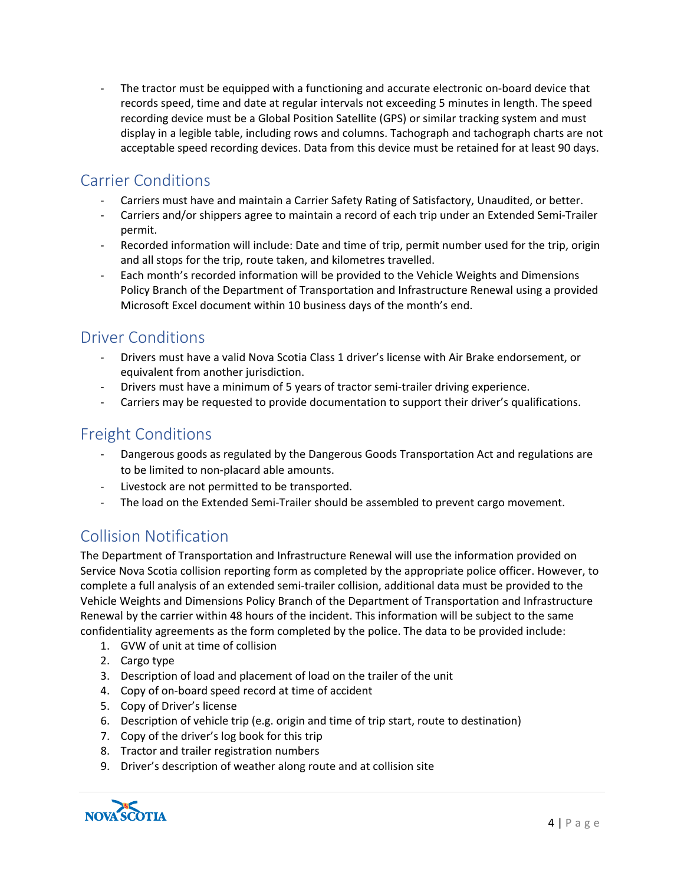The tractor must be equipped with a functioning and accurate electronic on-board device that records speed, time and date at regular intervals not exceeding 5 minutes in length. The speed recording device must be a Global Position Satellite (GPS) or similar tracking system and must display in a legible table, including rows and columns. Tachograph and tachograph charts are not acceptable speed recording devices. Data from this device must be retained for at least 90 days.

# <span id="page-4-0"></span>Carrier Conditions

- Carriers must have and maintain a Carrier Safety Rating of Satisfactory, Unaudited, or better.
- Carriers and/or shippers agree to maintain a record of each trip under an Extended Semi-Trailer permit.
- Recorded information will include: Date and time of trip, permit number used for the trip, origin and all stops for the trip, route taken, and kilometres travelled.
- Each month's recorded information will be provided to the Vehicle Weights and Dimensions Policy Branch of the Department of Transportation and Infrastructure Renewal using a provided Microsoft Excel document within 10 business days of the month's end.

#### <span id="page-4-1"></span>Driver Conditions

- Drivers must have a valid Nova Scotia Class 1 driver's license with Air Brake endorsement, or equivalent from another jurisdiction.
- Drivers must have a minimum of 5 years of tractor semi-trailer driving experience.
- Carriers may be requested to provide documentation to support their driver's qualifications.

# <span id="page-4-2"></span>Freight Conditions

- Dangerous goods as regulated by the Dangerous Goods Transportation Act and regulations are to be limited to non-placard able amounts.
- Livestock are not permitted to be transported.
- The load on the Extended Semi-Trailer should be assembled to prevent cargo movement.

# <span id="page-4-3"></span>Collision Notification

The Department of Transportation and Infrastructure Renewal will use the information provided on Service Nova Scotia collision reporting form as completed by the appropriate police officer. However, to complete a full analysis of an extended semi-trailer collision, additional data must be provided to the Vehicle Weights and Dimensions Policy Branch of the Department of Transportation and Infrastructure Renewal by the carrier within 48 hours of the incident. This information will be subject to the same confidentiality agreements as the form completed by the police. The data to be provided include:

- 1. GVW of unit at time of collision
- 2. Cargo type
- 3. Description of load and placement of load on the trailer of the unit
- 4. Copy of on-board speed record at time of accident
- 5. Copy of Driver's license
- 6. Description of vehicle trip (e.g. origin and time of trip start, route to destination)
- 7. Copy of the driver's log book for this trip
- 8. Tractor and trailer registration numbers
- 9. Driver's description of weather along route and at collision site